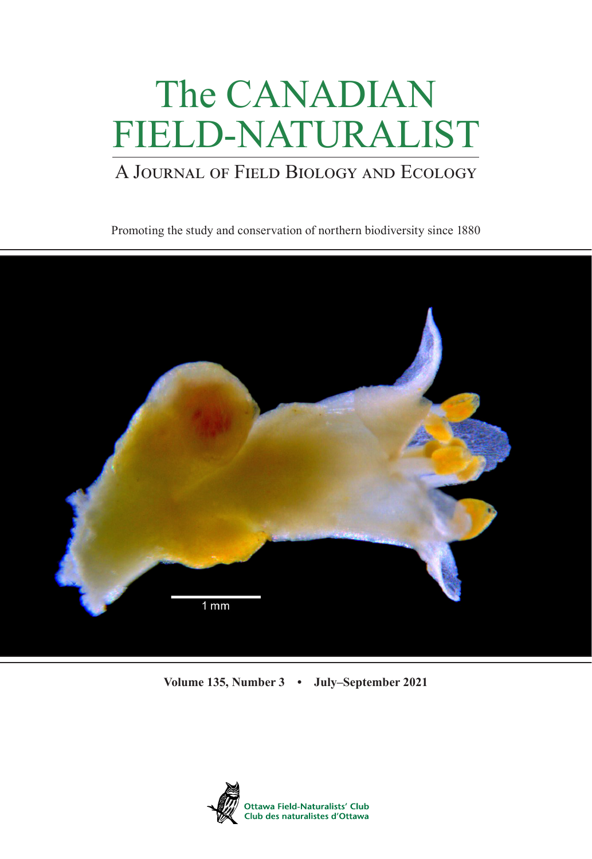# The CANADIAN FIELD-NATURALIST

# A Journal of Field Biology and Ecology

Promoting the study and conservation of northern biodiversity since 1880



**Volume 135, Number 3 • July–September 2021**

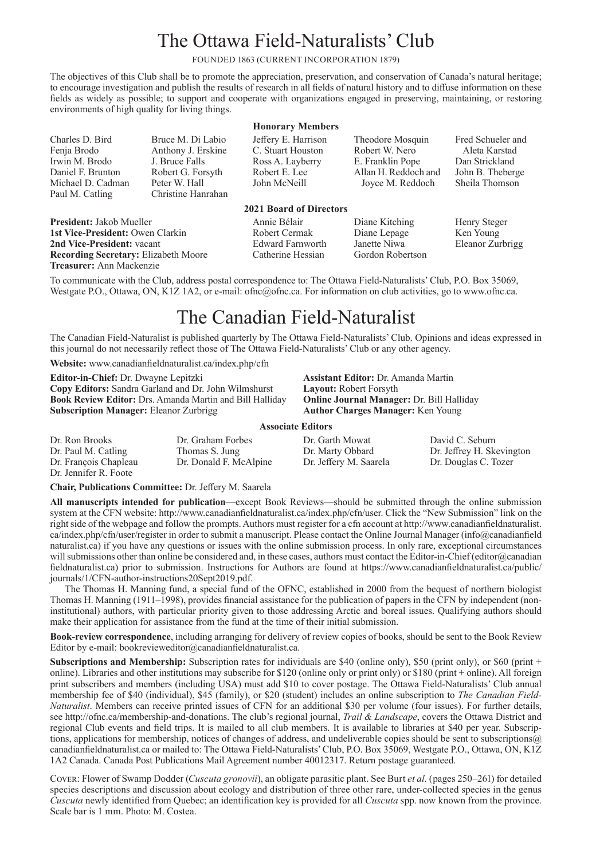## The Ottawa Field-Naturalists' Club

FOUNDED 1863 (CURRENT INCORPORATION 1879)

The objectives of this Club shall be to promote the appreciation, preservation, and conservation of Canada's natural heritage; to encourage investigation and publish the results of research in all fields of natural history and to diffuse information on these fields as widely as possible; to support and cooperate with organizations engaged in preserving, maintaining, or restoring environments of high quality for living things.

**Honorary Members**

Jeffery E. Harrison C. Stuart Houston Ross A. Layberry Robert E. Lee John McNeill

Charles D. Bird Fenja Brodo Irwin M. Brodo Daniel F. Brunton Michael D. Cadman Paul M. Catling

Bruce M. Di Labio Anthony J. Erskine J. Bruce Falls Robert G. Forsyth Peter W. Hall Christine Hanrahan

**2021 Board of Directors**

**President:** Jakob Mueller **1st Vice-President:** Owen Clarkin **2nd Vice-President:** vacant **Recording Secretary:** Elizabeth Moore **Treasurer:** Ann Mackenzie

Annie Bélair Robert Cermak Edward Farnworth Catherine Hessian

Theodore Mosquin Robert W. Nero E. Franklin Pope Allan H. Reddoch and Joyce M. Reddoch

Diane Kitching Diane Lepage Janette Niwa Gordon Robertson Fred Schueler and Aleta Karstad Dan Strickland John B. Theberge Sheila Thomson

Henry Steger Ken Young Eleanor Zurbrigg

To communicate with the Club, address postal correspondence to: The Ottawa Field-Naturalists' Club, P.O. Box 35069, Westgate P.O., Ottawa, ON, K1Z 1A2, or e-mail: ofnc@ofnc.ca. For information on club activities, go to [www.ofnc.ca](http://www.ofnc.ca).

## The Canadian Field-Naturalist

The Canadian Field-Naturalist is published quarterly by The Ottawa Field-Naturalists' Club. Opinions and ideas expressed in this journal do not necessarily reflect those of The Ottawa Field-Naturalists' Club or any other agency.

**Website:** [www.canadianfieldnaturalist.ca/index.php/cfn](http://www.canadianfieldnaturalist.ca/index.php/cfn)

**Editor-in-Chief:** Dr. Dwayne Lepitzki **Copy Editors:** Sandra Garland and Dr. John Wilmshurst **Book Review Editor:** Drs. Amanda Martin and Bill Halliday **Subscription Manager:** Eleanor Zurbrigg

**Assistant Editor:** Dr. Amanda Martin **Layout:** Robert Forsyth **Online Journal Manager:** Dr. Bill Halliday **Author Charges Manager:** Ken Young

#### **Associate Editors**

| Dr. Ron Brooks        | Dr. Graham Forbes      | Dr. Garth Mowat        | David C. Seburn           |
|-----------------------|------------------------|------------------------|---------------------------|
| Dr. Paul M. Catling   | Thomas S. Jung         | Dr. Marty Obbard       | Dr. Jeffrey H. Skevington |
| Dr. François Chapleau | Dr. Donald F. McAlpine | Dr. Jeffery M. Saarela | Dr. Douglas C. Tozer      |
| Dr. Jennifer R. Foote |                        |                        |                           |

**Chair, Publications Committee:** Dr. Jeffery M. Saarela

**All manuscripts intended for publication**—except Book Reviews—should be submitted through the online submission system at the CFN website: [http://www.canadianfieldnaturalist.ca/index.php/cfn/user.](http://www.canadianfieldnaturalist.ca/index.php/cfn/user) Click the "New Submission" link on the right side of the webpage and follow the prompts. Authors must register for a cfn account at [http://www.canadianfieldnaturalist.](http://www.canadianfieldnaturalist.ca/index.php/cfn/user/register) [ca/index.php/cfn/user/register](http://www.canadianfieldnaturalist.ca/index.php/cfn/user/register) in order to submit a manuscript. Please contact the Online Journal Manager [\(info@canadianfield](mailto: info@canadianfieldnaturalist.ca) [naturalist.ca](mailto: info@canadianfieldnaturalist.ca)) if you have any questions or issues with the online submission process. In only rare, exceptional circumstances will submissions other than online be considered and, in these cases, authors must contact the Editor-in-Chief (editor@canadian fieldnaturalist.ca) prior to submission. Instructions for Authors are found at [https://www.canadianfieldnaturalist.ca/public/](https://www.canadianfieldnaturalist.ca/public/journals/1/CFN-author-instructions20Sept2019.pdf) [journals/1/CFN-author-instructions20Sept2019](https://www.canadianfieldnaturalist.ca/public/journals/1/CFN-author-instructions20Sept2019.pdf).pdf.

The Thomas H. Manning fund, a special fund of the OFNC, established in 2000 from the bequest of northern biologist Thomas H. Manning (1911–1998), provides financial assistance for the publication of papers in the CFN by independent (noninstitutional) authors, with particular priority given to those addressing Arctic and boreal issues. Qualifying authors should make their application for assistance from the fund at the time of their initial submission.

**Book-review correspondence**, including arranging for delivery of review copies of books, should be sent to the Book Review Editor by e-mail: [bookrevieweditor@canadianfieldnaturalist.ca](mailto:bookrevieweditor@canadianfieldnaturalist.ca).

**Subscriptions and Membership:** Subscription rates for individuals are \$40 (online only), \$50 (print only), or \$60 (print + online). Libraries and other institutions may subscribe for \$120 (online only or print only) or \$180 (print + online). All foreign print subscribers and members (including USA) must add \$10 to cover postage. The Ottawa Field-Naturalists' Club annual membership fee of \$40 (individual), \$45 (family), or \$20 (student) includes an online subscription to *The Canadian Field-Naturalist*. Members can receive printed issues of CFN for an additional \$30 per volume (four issues). For further details, see http://ofnc.ca/membership-and-donations. The club's regional journal, *Trail & Landscape*, covers the Ottawa District and regional Club events and field trips. It is mailed to all club members. It is available to libraries at \$40 per year. Subscriptions, applications for membership, notices of changes of address, and undeliverable copies should be sent to subscriptions  $@$ canadianfieldnaturalist.ca or mailed to: The Ottawa Field-Naturalists' Club, P.O. Box 35069, Westgate P.O., Ottawa, ON, K1Z 1A2 Canada. Canada Post Publications Mail Agreement number 40012317. Return postage guaranteed.

Cover: Flower of Swamp Dodder (*Cuscuta gronovii*), an obligate parasitic plant. See Burt *et al.* (pages 250–261) for detailed species descriptions and discussion about ecology and distribution of three other rare, under-collected species in the genus *Cuscuta* newly identified from Quebec; an identification key is provided for all *Cuscuta* spp. now known from the province. Scale bar is 1 mm. Photo: M. Costea.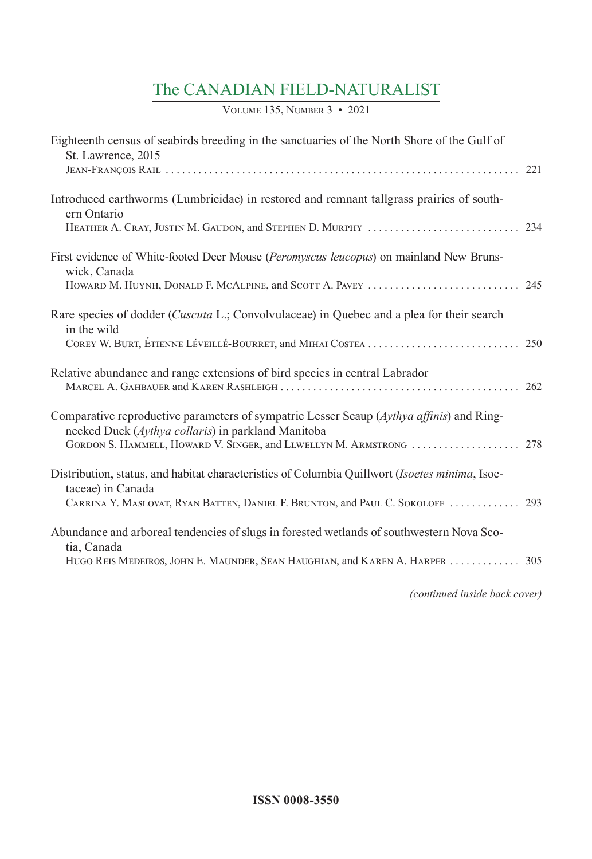## The CANADIAN FIELD-NATURALIST

Volume 135, Number 3 • 2021

| Eighteenth census of seabirds breeding in the sanctuaries of the North Shore of the Gulf of<br>St. Lawrence, 2015                              |  |
|------------------------------------------------------------------------------------------------------------------------------------------------|--|
|                                                                                                                                                |  |
| Introduced earthworms (Lumbricidae) in restored and remnant tallgrass prairies of south-<br>ern Ontario                                        |  |
|                                                                                                                                                |  |
| First evidence of White-footed Deer Mouse (Peromyscus leucopus) on mainland New Bruns-<br>wick, Canada                                         |  |
|                                                                                                                                                |  |
| Rare species of dodder ( <i>Cuscuta L</i> .; Convolvulaceae) in Quebec and a plea for their search<br>in the wild                              |  |
|                                                                                                                                                |  |
| Relative abundance and range extensions of bird species in central Labrador                                                                    |  |
| Comparative reproductive parameters of sympatric Lesser Scaup (Aythya affinis) and Ring-<br>necked Duck (Aythya collaris) in parkland Manitoba |  |
| GORDON S. HAMMELL, HOWARD V. SINGER, and LLWELLYN M. ARMSTRONG  278                                                                            |  |
| Distribution, status, and habitat characteristics of Columbia Quillwort (Isoetes minima, Isoe-<br>taceae) in Canada                            |  |
| CARRINA Y. MASLOVAT, RYAN BATTEN, DANIEL F. BRUNTON, and PAUL C. SOKOLOFF  293                                                                 |  |
| Abundance and arboreal tendencies of slugs in forested wetlands of southwestern Nova Sco-<br>tia, Canada                                       |  |
| HUGO REIS MEDEIROS, JOHN E. MAUNDER, SEAN HAUGHIAN, and KAREN A. HARPER  305                                                                   |  |

*(continued inside back cover)*